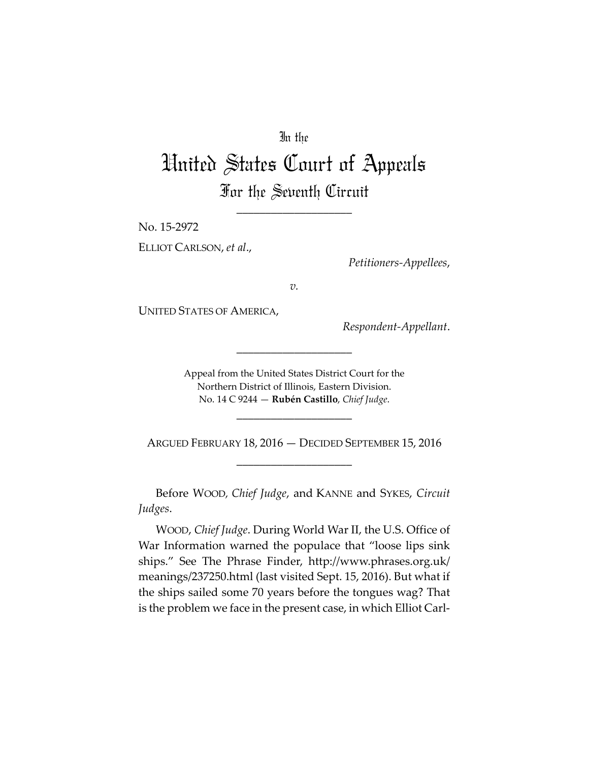# In the

# United States Court of Appeals For the Seventh Circuit

\_\_\_\_\_\_\_\_\_\_\_\_\_\_\_\_\_\_\_\_

No. 15-2972 ELLIOT CARLSON, *et al*.,

*Petitioners-Appellees*,

*v.*

UNITED STATES OF AMERICA,

*Respondent-Appellant*.

Appeal from the United States District Court for the Northern District of Illinois, Eastern Division. No. 14 C 9244 — **Rubén Castillo**, *Chief Judge*.

\_\_\_\_\_\_\_\_\_\_\_\_\_\_\_\_\_\_\_\_

\_\_\_\_\_\_\_\_\_\_\_\_\_\_\_\_\_\_\_\_

ARGUED FEBRUARY 18, 2016 — DECIDED SEPTEMBER 15, 2016 \_\_\_\_\_\_\_\_\_\_\_\_\_\_\_\_\_\_\_\_

Before WOOD*, Chief Judge*, and KANNE and SYKES, *Circuit Judges*.

WOOD, *Chief Judge*. During World War II, the U.S. Office of War Information warned the populace that "loose lips sink ships." See The Phrase Finder, http://www.phrases.org.uk/ meanings/237250.html (last visited Sept. 15, 2016). But what if the ships sailed some 70 years before the tongues wag? That is the problem we face in the present case, in which Elliot Carl-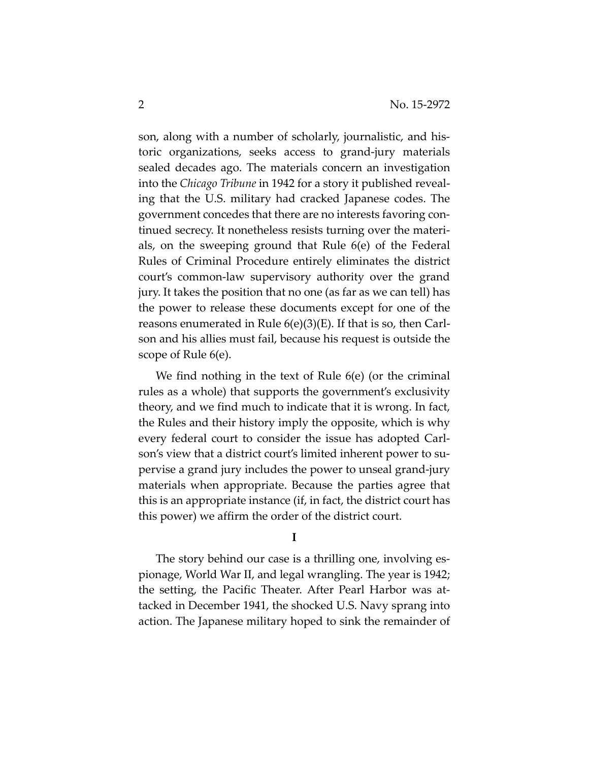son, along with a number of scholarly, journalistic, and historic organizations, seeks access to grand-jury materials sealed decades ago. The materials concern an investigation into the *Chicago Tribune* in 1942 for a story it published revealing that the U.S. military had cracked Japanese codes. The government concedes that there are no interests favoring continued secrecy. It nonetheless resists turning over the materials, on the sweeping ground that Rule 6(e) of the Federal Rules of Criminal Procedure entirely eliminates the district court's common-law supervisory authority over the grand jury. It takes the position that no one (as far as we can tell) has the power to release these documents except for one of the reasons enumerated in Rule 6(e)(3)(E). If that is so, then Carlson and his allies must fail, because his request is outside the scope of Rule 6(e).

We find nothing in the text of Rule 6(e) (or the criminal rules as a whole) that supports the government's exclusivity theory, and we find much to indicate that it is wrong. In fact, the Rules and their history imply the opposite, which is why every federal court to consider the issue has adopted Carlson's view that a district court's limited inherent power to supervise a grand jury includes the power to unseal grand-jury materials when appropriate. Because the parties agree that this is an appropriate instance (if, in fact, the district court has this power) we affirm the order of the district court.

**I** 

The story behind our case is a thrilling one, involving espionage, World War II, and legal wrangling. The year is 1942; the setting, the Pacific Theater. After Pearl Harbor was attacked in December 1941, the shocked U.S. Navy sprang into action. The Japanese military hoped to sink the remainder of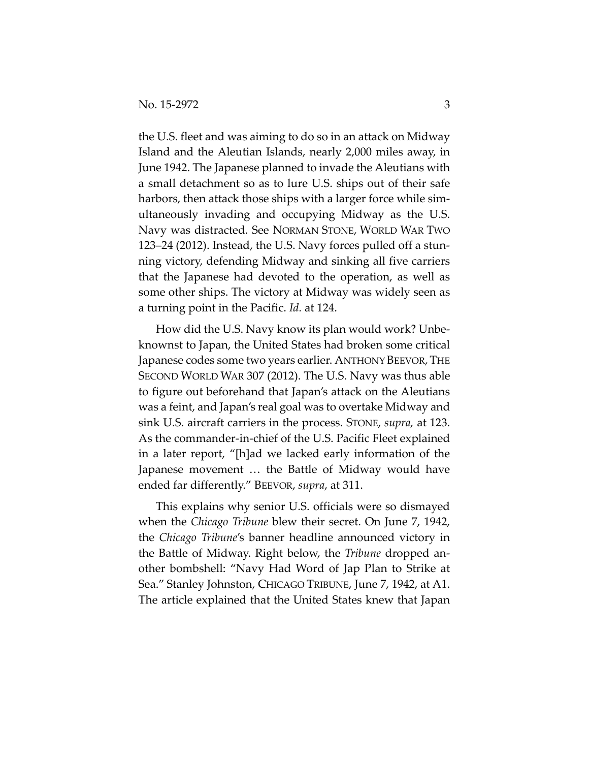the U.S. fleet and was aiming to do so in an attack on Midway Island and the Aleutian Islands, nearly 2,000 miles away, in June 1942. The Japanese planned to invade the Aleutians with a small detachment so as to lure U.S. ships out of their safe harbors, then attack those ships with a larger force while simultaneously invading and occupying Midway as the U.S. Navy was distracted. See NORMAN STONE, WORLD WAR TWO 123–24 (2012). Instead, the U.S. Navy forces pulled off a stunning victory, defending Midway and sinking all five carriers that the Japanese had devoted to the operation, as well as some other ships. The victory at Midway was widely seen as a turning point in the Pacific. *Id.* at 124.

How did the U.S. Navy know its plan would work? Unbeknownst to Japan, the United States had broken some critical Japanese codes some two years earlier. ANTHONY BEEVOR, THE SECOND WORLD WAR 307 (2012). The U.S. Navy was thus able to figure out beforehand that Japan's attack on the Aleutians was a feint, and Japan's real goal was to overtake Midway and sink U.S. aircraft carriers in the process. STONE, *supra,* at 123. As the commander-in-chief of the U.S. Pacific Fleet explained in a later report, "[h]ad we lacked early information of the Japanese movement … the Battle of Midway would have ended far differently." BEEVOR, *supra*, at 311.

This explains why senior U.S. officials were so dismayed when the *Chicago Tribune* blew their secret. On June 7, 1942, the *Chicago Tribune*'s banner headline announced victory in the Battle of Midway. Right below, the *Tribune* dropped another bombshell: "Navy Had Word of Jap Plan to Strike at Sea." Stanley Johnston, CHICAGO TRIBUNE, June 7, 1942, at A1. The article explained that the United States knew that Japan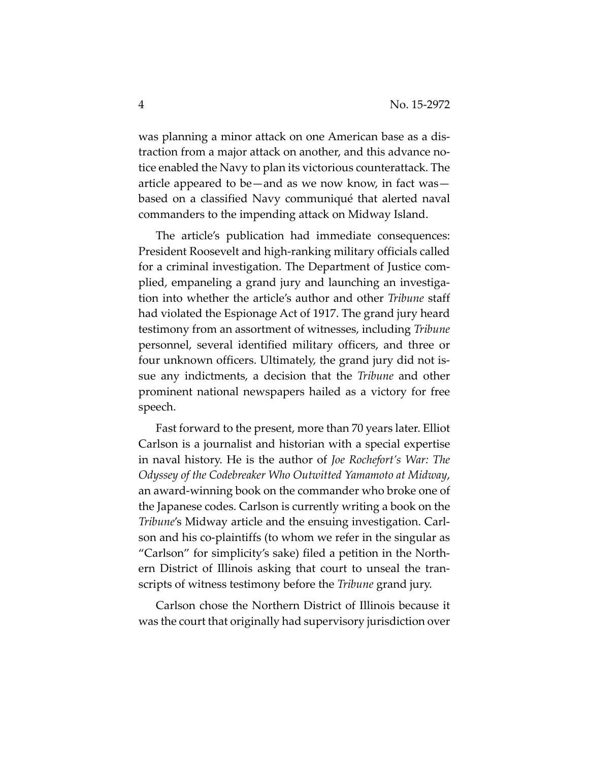was planning a minor attack on one American base as a distraction from a major attack on another, and this advance notice enabled the Navy to plan its victorious counterattack. The article appeared to be—and as we now know, in fact was based on a classified Navy communiqué that alerted naval commanders to the impending attack on Midway Island.

The article's publication had immediate consequences: President Roosevelt and high-ranking military officials called for a criminal investigation. The Department of Justice complied, empaneling a grand jury and launching an investigation into whether the article's author and other *Tribune* staff had violated the Espionage Act of 1917. The grand jury heard testimony from an assortment of witnesses, including *Tribune*  personnel, several identified military officers, and three or four unknown officers. Ultimately, the grand jury did not issue any indictments, a decision that the *Tribune* and other prominent national newspapers hailed as a victory for free speech.

Fast forward to the present, more than 70 years later. Elliot Carlson is a journalist and historian with a special expertise in naval history. He is the author of *Joe Rochefort's War: The Odyssey of the Codebreaker Who Outwitted Yamamoto at Midway*, an award-winning book on the commander who broke one of the Japanese codes. Carlson is currently writing a book on the *Tribune*'s Midway article and the ensuing investigation. Carlson and his co-plaintiffs (to whom we refer in the singular as "Carlson" for simplicity's sake) filed a petition in the Northern District of Illinois asking that court to unseal the transcripts of witness testimony before the *Tribune* grand jury.

Carlson chose the Northern District of Illinois because it was the court that originally had supervisory jurisdiction over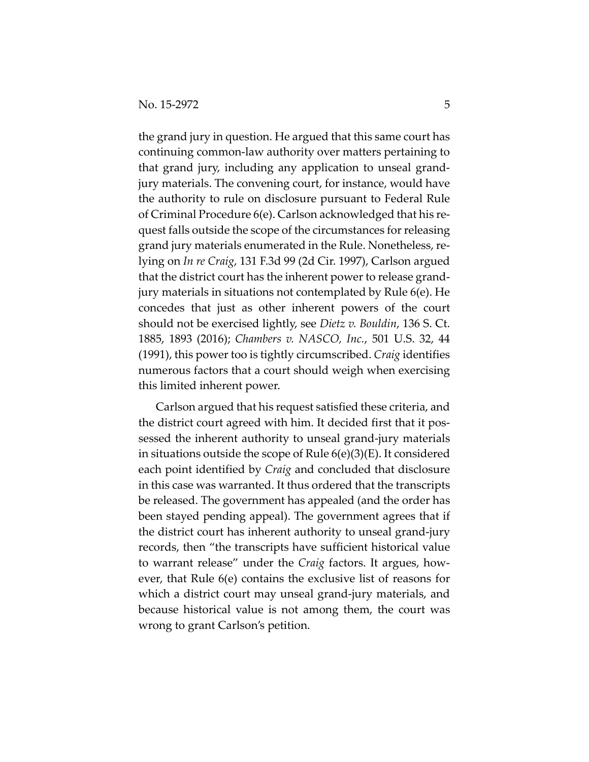the grand jury in question. He argued that this same court has continuing common-law authority over matters pertaining to that grand jury, including any application to unseal grandjury materials. The convening court, for instance, would have the authority to rule on disclosure pursuant to Federal Rule of Criminal Procedure 6(e). Carlson acknowledged that his request falls outside the scope of the circumstances for releasing grand jury materials enumerated in the Rule. Nonetheless, relying on *In re Craig*, 131 F.3d 99 (2d Cir. 1997), Carlson argued that the district court has the inherent power to release grandjury materials in situations not contemplated by Rule 6(e). He concedes that just as other inherent powers of the court should not be exercised lightly, see *Dietz v. Bouldin*, 136 S. Ct. 1885, 1893 (2016); *Chambers v. NASCO, Inc.*, 501 U.S. 32, 44 (1991), this power too is tightly circumscribed. *Craig* identifies numerous factors that a court should weigh when exercising this limited inherent power.

Carlson argued that his request satisfied these criteria, and the district court agreed with him. It decided first that it possessed the inherent authority to unseal grand-jury materials in situations outside the scope of Rule 6(e)(3)(E). It considered each point identified by *Craig* and concluded that disclosure in this case was warranted. It thus ordered that the transcripts be released. The government has appealed (and the order has been stayed pending appeal). The government agrees that if the district court has inherent authority to unseal grand-jury records, then "the transcripts have sufficient historical value to warrant release" under the *Craig* factors. It argues, however, that Rule 6(e) contains the exclusive list of reasons for which a district court may unseal grand-jury materials, and because historical value is not among them, the court was wrong to grant Carlson's petition.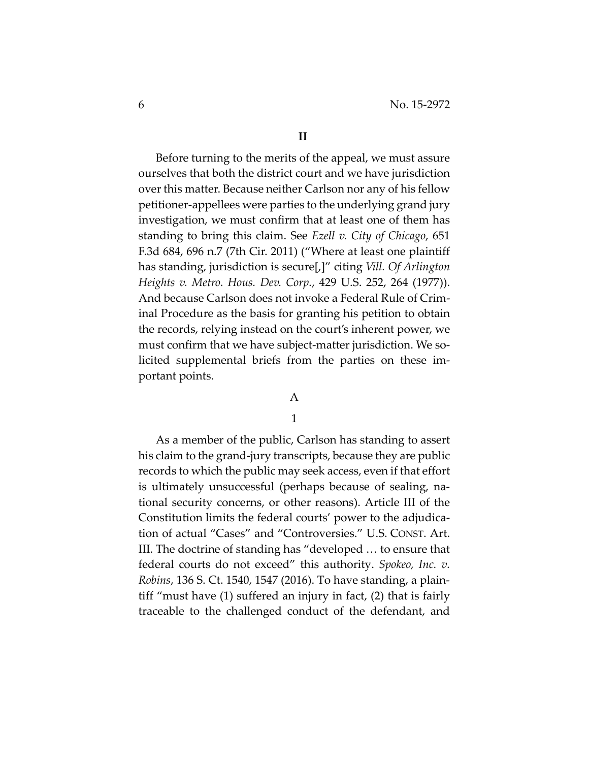Before turning to the merits of the appeal, we must assure ourselves that both the district court and we have jurisdiction over this matter. Because neither Carlson nor any of his fellow petitioner-appellees were parties to the underlying grand jury investigation, we must confirm that at least one of them has standing to bring this claim. See *Ezell v. City of Chicago*, 651 F.3d 684, 696 n.7 (7th Cir. 2011) ("Where at least one plaintiff has standing, jurisdiction is secure[,]" citing *Vill. Of Arlington Heights v. Metro. Hous. Dev. Corp.*, 429 U.S. 252, 264 (1977)). And because Carlson does not invoke a Federal Rule of Criminal Procedure as the basis for granting his petition to obtain the records, relying instead on the court's inherent power, we must confirm that we have subject-matter jurisdiction. We solicited supplemental briefs from the parties on these important points.

### A

# 1

As a member of the public, Carlson has standing to assert his claim to the grand-jury transcripts, because they are public records to which the public may seek access, even if that effort is ultimately unsuccessful (perhaps because of sealing, national security concerns, or other reasons). Article III of the Constitution limits the federal courts' power to the adjudication of actual "Cases" and "Controversies." U.S. CONST. Art. III. The doctrine of standing has "developed … to ensure that federal courts do not exceed" this authority. *Spokeo, Inc. v. Robins*, 136 S. Ct. 1540, 1547 (2016). To have standing, a plaintiff "must have (1) suffered an injury in fact, (2) that is fairly traceable to the challenged conduct of the defendant, and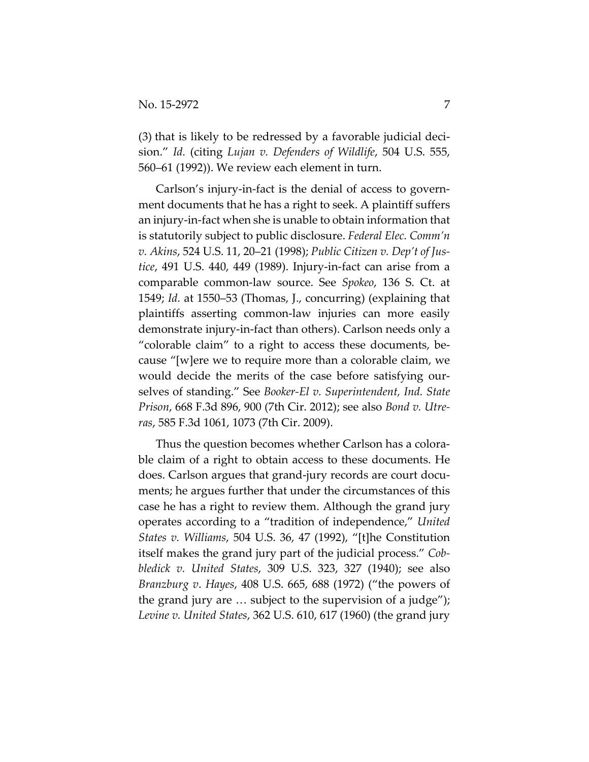(3) that is likely to be redressed by a favorable judicial decision." *Id.* (citing *Lujan v. Defenders of Wildlife*, 504 U.S. 555, 560–61 (1992)). We review each element in turn.

Carlson's injury-in-fact is the denial of access to government documents that he has a right to seek. A plaintiff suffers an injury-in-fact when she is unable to obtain information that is statutorily subject to public disclosure. *Federal Elec. Comm'n v. Akins*, 524 U.S. 11, 20–21 (1998); *Public Citizen v. Dep't of Justice*, 491 U.S. 440, 449 (1989). Injury-in-fact can arise from a comparable common-law source. See *Spokeo*, 136 S. Ct. at 1549; *Id.* at 1550–53 (Thomas, J., concurring) (explaining that plaintiffs asserting common-law injuries can more easily demonstrate injury-in-fact than others). Carlson needs only a "colorable claim" to a right to access these documents, because "[w]ere we to require more than a colorable claim, we would decide the merits of the case before satisfying ourselves of standing." See *Booker-El v. Superintendent, Ind. State Prison*, 668 F.3d 896, 900 (7th Cir. 2012); see also *Bond v. Utreras*, 585 F.3d 1061, 1073 (7th Cir. 2009).

Thus the question becomes whether Carlson has a colorable claim of a right to obtain access to these documents. He does. Carlson argues that grand-jury records are court documents; he argues further that under the circumstances of this case he has a right to review them. Although the grand jury operates according to a "tradition of independence," *United States v. Williams*, 504 U.S. 36, 47 (1992), "[t]he Constitution itself makes the grand jury part of the judicial process." *Cobbledick v. United States*, 309 U.S. 323, 327 (1940); see also *Branzburg v*. *Hayes*, 408 U.S. 665, 688 (1972) ("the powers of the grand jury are … subject to the supervision of a judge"); *Levine v. United States*, 362 U.S. 610, 617 (1960) (the grand jury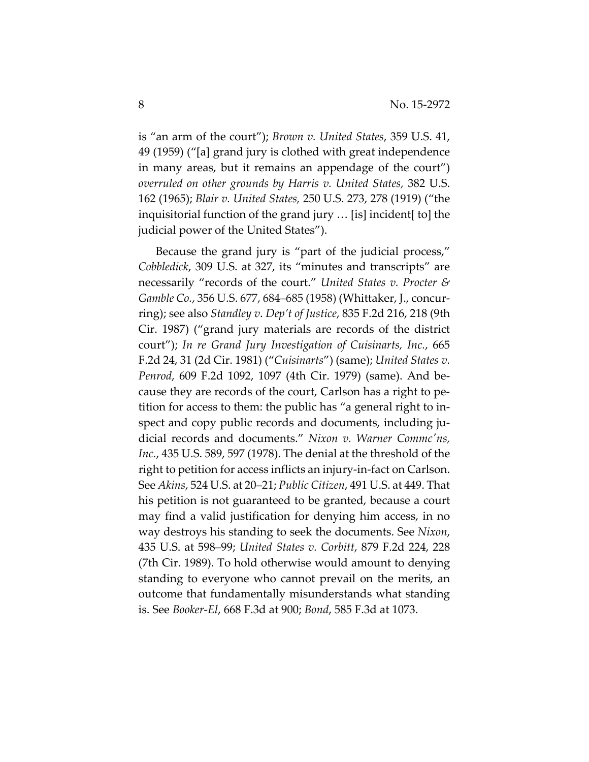is "an arm of the court"); *Brown v. United States*, 359 U.S. 41, 49 (1959) ("[a] grand jury is clothed with great independence in many areas, but it remains an appendage of the court") *overruled on other grounds by Harris v. United States,* 382 U.S. 162 (1965); *Blair v. United States,* 250 U.S. 273, 278 (1919) ("the inquisitorial function of the grand jury … [is] incident[ to] the judicial power of the United States").

Because the grand jury is "part of the judicial process," *Cobbledick*, 309 U.S. at 327, its "minutes and transcripts" are necessarily "records of the court." *United States v. Procter & Gamble Co.*, 356 U.S. 677, 684–685 (1958) (Whittaker, J., concurring); see also *Standley v*. *Dep't of Justice*, 835 F.2d 216, 218 (9th Cir. 1987) ("grand jury materials are records of the district court"); *In re Grand Jury Investigation of Cuisinarts, Inc.*, 665 F.2d 24, 31 (2d Cir. 1981) ("*Cuisinarts*") (same); *United States v. Penrod*, 609 F.2d 1092, 1097 (4th Cir. 1979) (same). And because they are records of the court, Carlson has a right to petition for access to them: the public has "a general right to inspect and copy public records and documents, including judicial records and documents." *Nixon v. Warner Commc'ns, Inc.*, 435 U.S. 589, 597 (1978). The denial at the threshold of the right to petition for access inflicts an injury-in-fact on Carlson. See *Akins*, 524 U.S. at 20–21; *Public Citizen*, 491 U.S. at 449. That his petition is not guaranteed to be granted, because a court may find a valid justification for denying him access, in no way destroys his standing to seek the documents. See *Nixon*, 435 U.S. at 598–99; *United States v. Corbitt*, 879 F.2d 224, 228 (7th Cir. 1989). To hold otherwise would amount to denying standing to everyone who cannot prevail on the merits, an outcome that fundamentally misunderstands what standing is. See *Booker-El*, 668 F.3d at 900; *Bond*, 585 F.3d at 1073.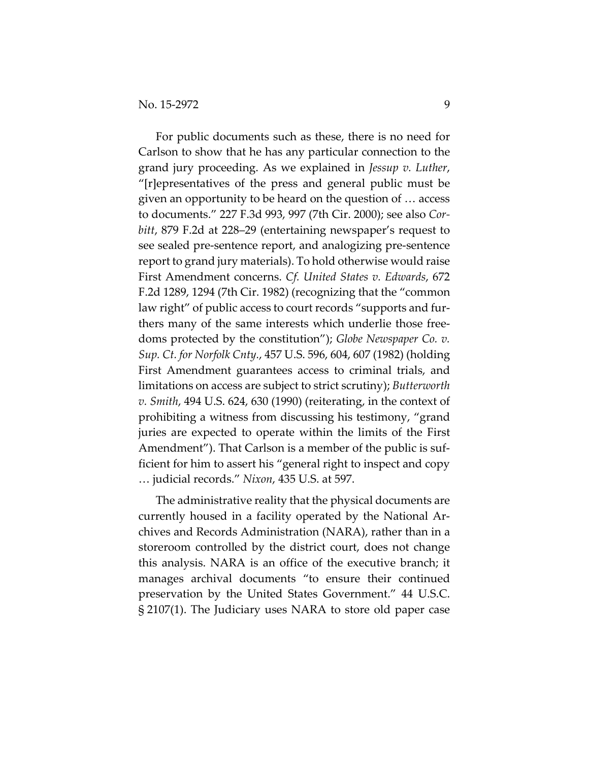For public documents such as these, there is no need for Carlson to show that he has any particular connection to the grand jury proceeding. As we explained in *Jessup v. Luther*, "[r]epresentatives of the press and general public must be given an opportunity to be heard on the question of … access to documents." 227 F.3d 993, 997 (7th Cir. 2000); see also *Corbitt*, 879 F.2d at 228–29 (entertaining newspaper's request to see sealed pre-sentence report, and analogizing pre-sentence report to grand jury materials). To hold otherwise would raise First Amendment concerns. *Cf. United States v. Edwards*, 672 F.2d 1289, 1294 (7th Cir. 1982) (recognizing that the "common law right" of public access to court records "supports and furthers many of the same interests which underlie those freedoms protected by the constitution"); *Globe Newspaper Co. v. Sup. Ct. for Norfolk Cnty.*, 457 U.S. 596, 604, 607 (1982) (holding First Amendment guarantees access to criminal trials, and limitations on access are subject to strict scrutiny); *Butterworth v. Smith*, 494 U.S. 624, 630 (1990) (reiterating, in the context of prohibiting a witness from discussing his testimony, "grand juries are expected to operate within the limits of the First Amendment"). That Carlson is a member of the public is sufficient for him to assert his "general right to inspect and copy … judicial records." *Nixon*, 435 U.S. at 597.

The administrative reality that the physical documents are currently housed in a facility operated by the National Archives and Records Administration (NARA), rather than in a storeroom controlled by the district court, does not change this analysis. NARA is an office of the executive branch; it manages archival documents "to ensure their continued preservation by the United States Government." 44 U.S.C. § 2107(1). The Judiciary uses NARA to store old paper case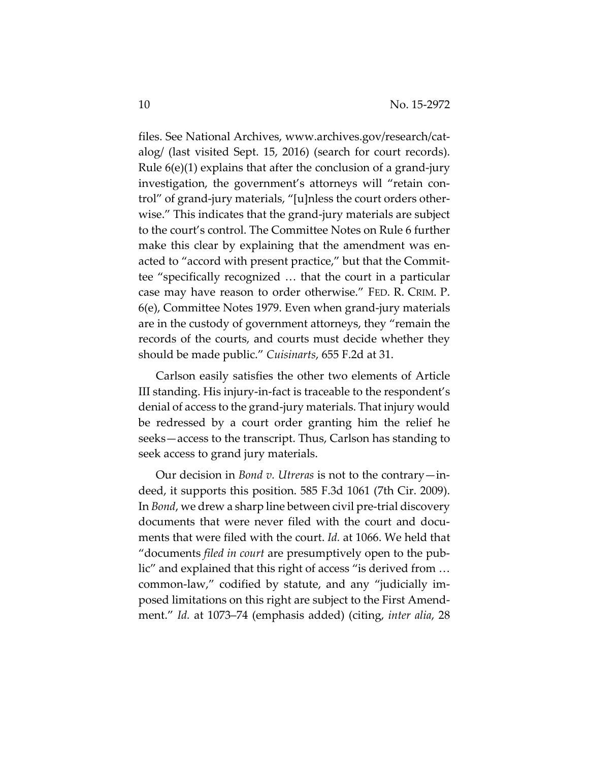files. See National Archives, www.archives.gov/research/catalog/ (last visited Sept. 15, 2016) (search for court records). Rule 6(e)(1) explains that after the conclusion of a grand-jury investigation, the government's attorneys will "retain control" of grand-jury materials, "[u]nless the court orders otherwise." This indicates that the grand-jury materials are subject to the court's control. The Committee Notes on Rule 6 further make this clear by explaining that the amendment was enacted to "accord with present practice," but that the Committee "specifically recognized … that the court in a particular case may have reason to order otherwise." FED. R. CRIM. P. 6(e), Committee Notes 1979. Even when grand-jury materials are in the custody of government attorneys, they "remain the records of the courts, and courts must decide whether they should be made public." *Cuisinarts*, 655 F.2d at 31.

Carlson easily satisfies the other two elements of Article III standing. His injury-in-fact is traceable to the respondent's denial of access to the grand-jury materials. That injury would be redressed by a court order granting him the relief he seeks—access to the transcript. Thus, Carlson has standing to seek access to grand jury materials.

Our decision in *Bond v. Utreras* is not to the contrary—indeed, it supports this position. 585 F.3d 1061 (7th Cir. 2009). In *Bond*, we drew a sharp line between civil pre-trial discovery documents that were never filed with the court and documents that were filed with the court. *Id.* at 1066. We held that "documents *filed in court* are presumptively open to the public" and explained that this right of access "is derived from … common-law," codified by statute, and any "judicially imposed limitations on this right are subject to the First Amendment." *Id.* at 1073–74 (emphasis added) (citing, *inter alia*, 28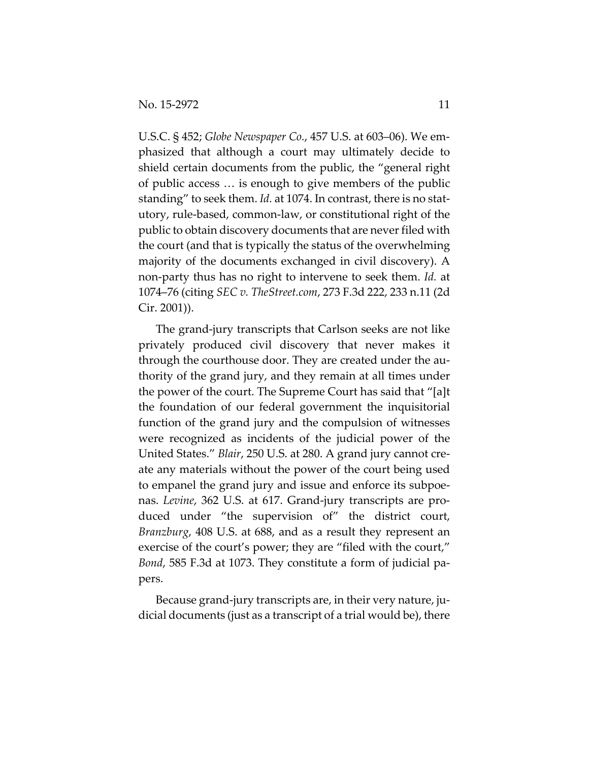U.S.C. § 452; *Globe Newspaper Co.*, 457 U.S. at 603–06). We emphasized that although a court may ultimately decide to shield certain documents from the public, the "general right of public access … is enough to give members of the public standing" to seek them. *Id.* at 1074. In contrast, there is no statutory, rule-based, common-law, or constitutional right of the public to obtain discovery documents that are never filed with the court (and that is typically the status of the overwhelming majority of the documents exchanged in civil discovery). A non-party thus has no right to intervene to seek them. *Id.* at 1074–76 (citing *SEC v. TheStreet.com*, 273 F.3d 222, 233 n.11 (2d Cir. 2001)).

The grand-jury transcripts that Carlson seeks are not like privately produced civil discovery that never makes it through the courthouse door. They are created under the authority of the grand jury, and they remain at all times under the power of the court. The Supreme Court has said that "[a]t the foundation of our federal government the inquisitorial function of the grand jury and the compulsion of witnesses were recognized as incidents of the judicial power of the United States." *Blair*, 250 U.S. at 280. A grand jury cannot create any materials without the power of the court being used to empanel the grand jury and issue and enforce its subpoenas. *Levine*, 362 U.S. at 617. Grand-jury transcripts are produced under "the supervision of" the district court, *Branzburg*, 408 U.S. at 688, and as a result they represent an exercise of the court's power; they are "filed with the court," *Bond*, 585 F.3d at 1073. They constitute a form of judicial papers.

Because grand-jury transcripts are, in their very nature, judicial documents (just as a transcript of a trial would be), there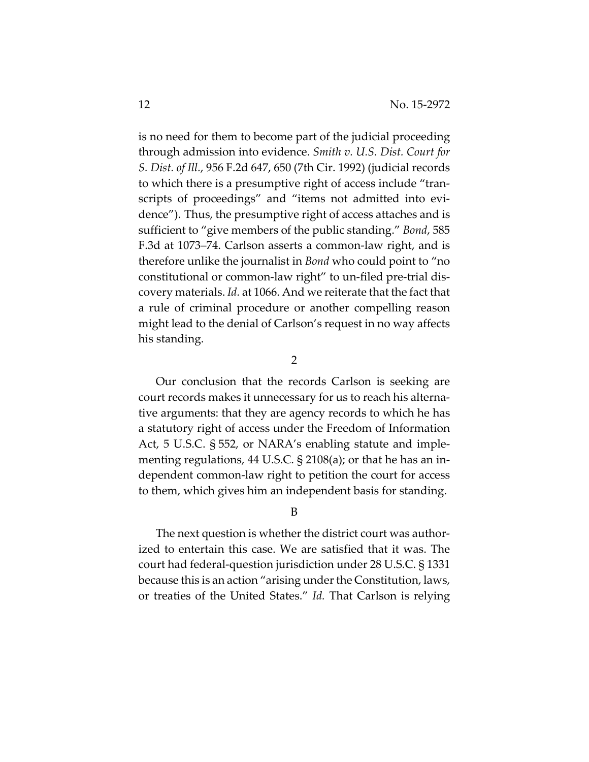is no need for them to become part of the judicial proceeding through admission into evidence. *Smith v. U.S. Dist. Court for S. Dist. of Ill.*, 956 F.2d 647, 650 (7th Cir. 1992) (judicial records to which there is a presumptive right of access include "transcripts of proceedings" and "items not admitted into evidence"). Thus, the presumptive right of access attaches and is sufficient to "give members of the public standing." *Bond*, 585 F.3d at 1073–74. Carlson asserts a common-law right, and is therefore unlike the journalist in *Bond* who could point to "no constitutional or common-law right" to un-filed pre-trial discovery materials. *Id.* at 1066. And we reiterate that the fact that a rule of criminal procedure or another compelling reason might lead to the denial of Carlson's request in no way affects his standing.

2

Our conclusion that the records Carlson is seeking are court records makes it unnecessary for us to reach his alternative arguments: that they are agency records to which he has a statutory right of access under the Freedom of Information Act, 5 U.S.C. § 552, or NARA's enabling statute and implementing regulations, 44 U.S.C. § 2108(a); or that he has an independent common-law right to petition the court for access to them, which gives him an independent basis for standing.

#### B

The next question is whether the district court was authorized to entertain this case. We are satisfied that it was. The court had federal-question jurisdiction under 28 U.S.C. § 1331 because this is an action "arising under the Constitution, laws, or treaties of the United States." *Id.* That Carlson is relying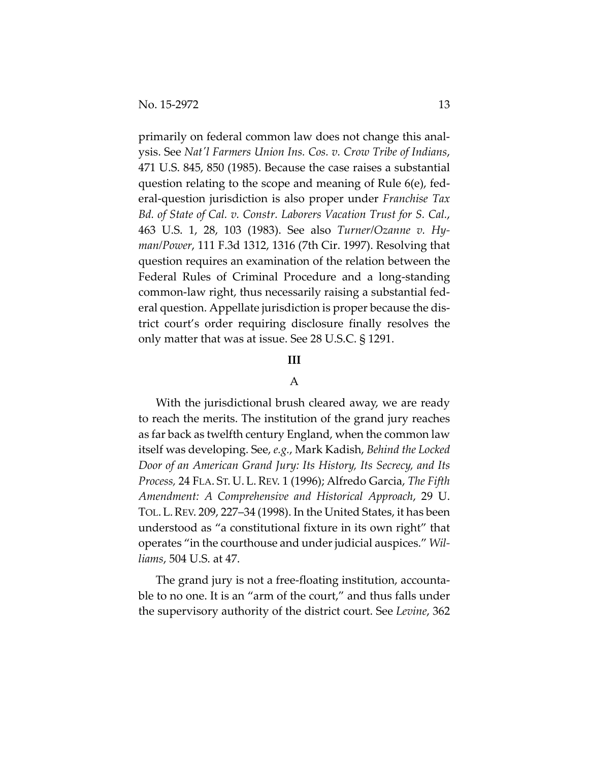primarily on federal common law does not change this analysis. See *Nat'l Farmers Union Ins. Cos. v. Crow Tribe of Indians*, 471 U.S. 845, 850 (1985). Because the case raises a substantial question relating to the scope and meaning of Rule 6(e), federal-question jurisdiction is also proper under *Franchise Tax Bd. of State of Cal. v. Constr. Laborers Vacation Trust for S. Cal.*, 463 U.S. 1, 28, 103 (1983). See also *Turner/Ozanne v. Hyman/Power*, 111 F.3d 1312, 1316 (7th Cir. 1997). Resolving that question requires an examination of the relation between the Federal Rules of Criminal Procedure and a long-standing common-law right, thus necessarily raising a substantial federal question. Appellate jurisdiction is proper because the district court's order requiring disclosure finally resolves the only matter that was at issue. See 28 U.S.C. § 1291.

# **III**

#### A

With the jurisdictional brush cleared away, we are ready to reach the merits. The institution of the grand jury reaches as far back as twelfth century England, when the common law itself was developing. See, *e.g.*, Mark Kadish, *Behind the Locked Door of an American Grand Jury: Its History, Its Secrecy, and Its Process,* 24 FLA. ST. U. L. REV. 1 (1996); Alfredo Garcia, *The Fifth Amendment: A Comprehensive and Historical Approach*, 29 U. TOL. L.REV. 209, 227–34 (1998). In the United States, it has been understood as "a constitutional fixture in its own right" that operates "in the courthouse and under judicial auspices." *Williams*, 504 U.S. at 47.

The grand jury is not a free-floating institution, accountable to no one. It is an "arm of the court," and thus falls under the supervisory authority of the district court. See *Levine*, 362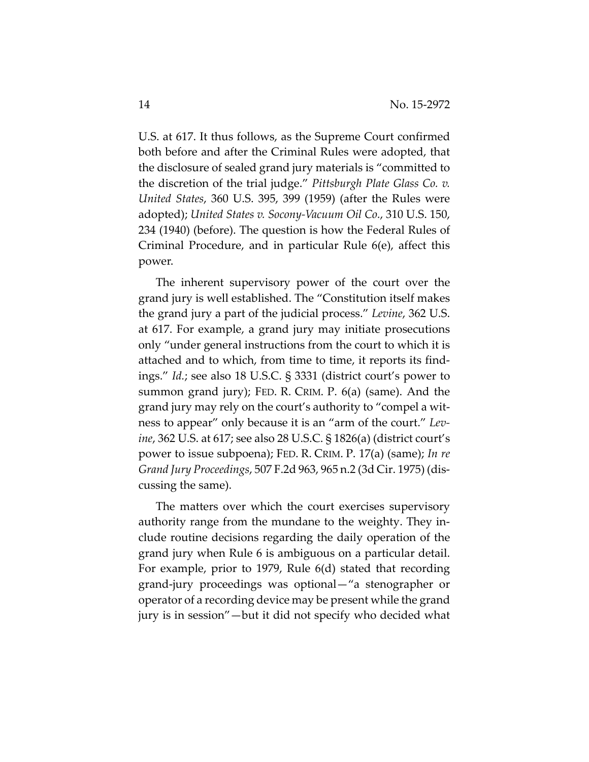U.S. at 617. It thus follows, as the Supreme Court confirmed both before and after the Criminal Rules were adopted, that the disclosure of sealed grand jury materials is "committed to the discretion of the trial judge." *Pittsburgh Plate Glass Co. v. United States*, 360 U.S. 395, 399 (1959) (after the Rules were adopted); *United States v. Socony-Vacuum Oil Co.*, 310 U.S. 150, 234 (1940) (before). The question is how the Federal Rules of Criminal Procedure, and in particular Rule 6(e), affect this power.

The inherent supervisory power of the court over the grand jury is well established. The "Constitution itself makes the grand jury a part of the judicial process." *Levine*, 362 U.S. at 617. For example, a grand jury may initiate prosecutions only "under general instructions from the court to which it is attached and to which, from time to time, it reports its findings." *Id.*; see also 18 U.S.C. § 3331 (district court's power to summon grand jury); FED. R. CRIM. P. 6(a) (same). And the grand jury may rely on the court's authority to "compel a witness to appear" only because it is an "arm of the court." *Levine*, 362 U.S. at 617; see also 28 U.S.C. § 1826(a) (district court's power to issue subpoena); FED. R. CRIM. P. 17(a) (same); *In re Grand Jury Proceedings*, 507 F.2d 963, 965 n.2 (3d Cir. 1975) (discussing the same).

The matters over which the court exercises supervisory authority range from the mundane to the weighty. They include routine decisions regarding the daily operation of the grand jury when Rule 6 is ambiguous on a particular detail. For example, prior to 1979, Rule 6(d) stated that recording grand-jury proceedings was optional—"a stenographer or operator of a recording device may be present while the grand jury is in session"—but it did not specify who decided what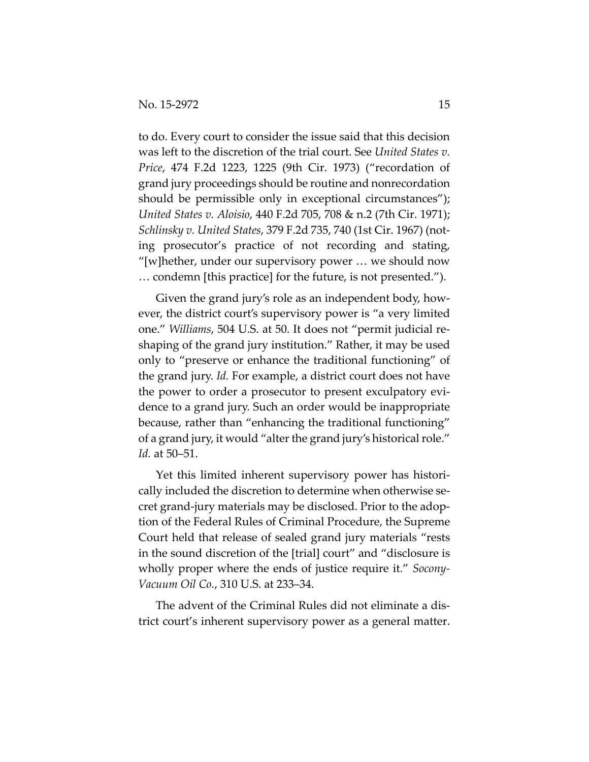to do. Every court to consider the issue said that this decision was left to the discretion of the trial court. See *United States v. Price*, 474 F.2d 1223, 1225 (9th Cir. 1973) ("recordation of grand jury proceedings should be routine and nonrecordation should be permissible only in exceptional circumstances"); *United States v. Aloisio*, 440 F.2d 705, 708 & n.2 (7th Cir. 1971); *Schlinsky v. United States*, 379 F.2d 735, 740 (1st Cir. 1967) (noting prosecutor's practice of not recording and stating, "[w]hether, under our supervisory power … we should now … condemn [this practice] for the future, is not presented.").

Given the grand jury's role as an independent body, however, the district court's supervisory power is "a very limited one." *Williams*, 504 U.S. at 50. It does not "permit judicial reshaping of the grand jury institution." Rather, it may be used only to "preserve or enhance the traditional functioning" of the grand jury. *Id.* For example, a district court does not have the power to order a prosecutor to present exculpatory evidence to a grand jury. Such an order would be inappropriate because, rather than "enhancing the traditional functioning" of a grand jury, it would "alter the grand jury's historical role." *Id.* at 50–51.

Yet this limited inherent supervisory power has historically included the discretion to determine when otherwise secret grand-jury materials may be disclosed. Prior to the adoption of the Federal Rules of Criminal Procedure, the Supreme Court held that release of sealed grand jury materials "rests in the sound discretion of the [trial] court" and "disclosure is wholly proper where the ends of justice require it." *Socony-Vacuum Oil Co.*, 310 U.S. at 233–34.

The advent of the Criminal Rules did not eliminate a district court's inherent supervisory power as a general matter.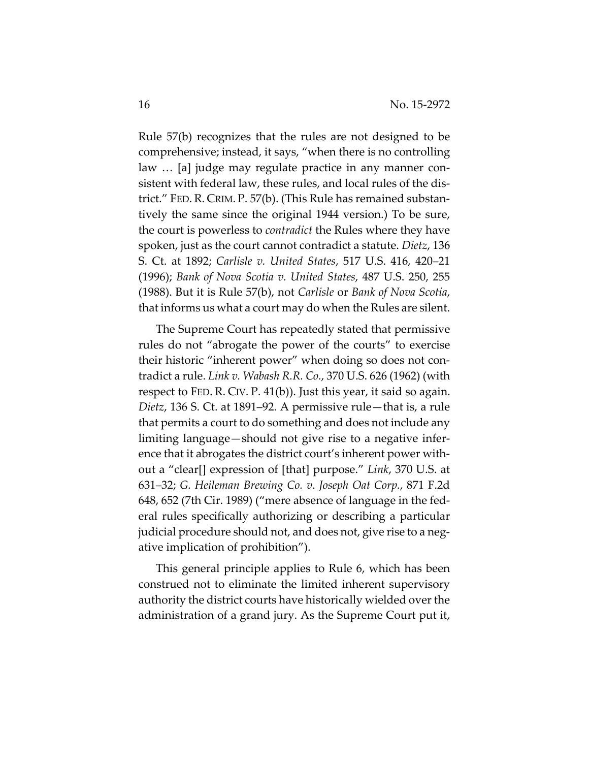Rule 57(b) recognizes that the rules are not designed to be comprehensive; instead, it says, "when there is no controlling law … [a] judge may regulate practice in any manner consistent with federal law, these rules, and local rules of the district." FED. R. CRIM. P. 57(b). (This Rule has remained substantively the same since the original 1944 version.) To be sure, the court is powerless to *contradict* the Rules where they have spoken, just as the court cannot contradict a statute. *Dietz*, 136 S. Ct. at 1892; *Carlisle v. United States*, 517 U.S. 416, 420–21 (1996); *Bank of Nova Scotia v. United States*, 487 U.S. 250, 255 (1988). But it is Rule 57(b), not *Carlisle* or *Bank of Nova Scotia*, that informs us what a court may do when the Rules are silent.

The Supreme Court has repeatedly stated that permissive rules do not "abrogate the power of the courts" to exercise their historic "inherent power" when doing so does not contradict a rule. *Link v. Wabash R.R. Co.*, 370 U.S. 626 (1962) (with respect to FED. R. CIV. P. 41(b)). Just this year, it said so again. *Dietz*, 136 S. Ct. at 1891–92. A permissive rule—that is, a rule that permits a court to do something and does not include any limiting language—should not give rise to a negative inference that it abrogates the district court's inherent power without a "clear[] expression of [that] purpose." *Link*, 370 U.S. at 631–32; *G. Heileman Brewing Co. v*. *Joseph Oat Corp.*, 871 F.2d 648, 652 (7th Cir. 1989) ("mere absence of language in the federal rules specifically authorizing or describing a particular judicial procedure should not, and does not, give rise to a negative implication of prohibition").

This general principle applies to Rule 6, which has been construed not to eliminate the limited inherent supervisory authority the district courts have historically wielded over the administration of a grand jury. As the Supreme Court put it,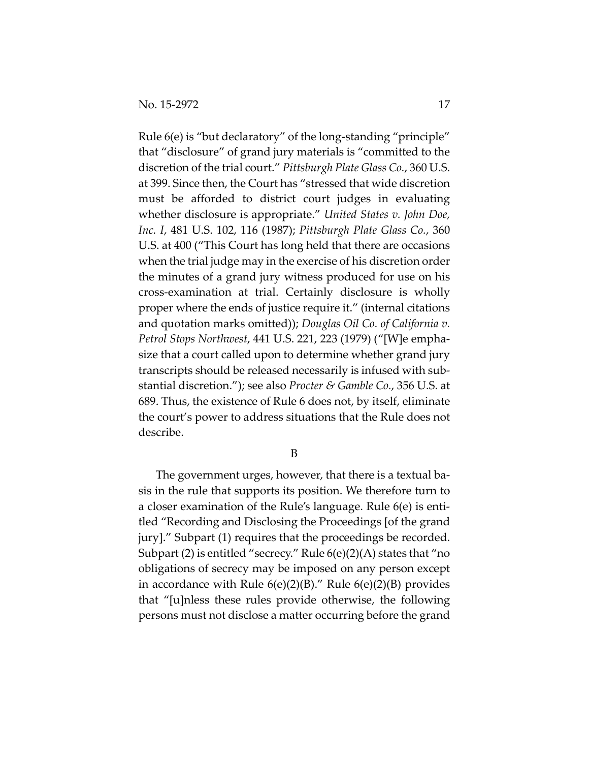Rule 6(e) is "but declaratory" of the long-standing "principle" that "disclosure" of grand jury materials is "committed to the discretion of the trial court." *Pittsburgh Plate Glass Co.*, 360 U.S. at 399. Since then, the Court has "stressed that wide discretion must be afforded to district court judges in evaluating whether disclosure is appropriate." *United States v. John Doe, Inc. I*, 481 U.S. 102, 116 (1987); *Pittsburgh Plate Glass Co.*, 360 U.S. at 400 ("This Court has long held that there are occasions when the trial judge may in the exercise of his discretion order the minutes of a grand jury witness produced for use on his cross-examination at trial. Certainly disclosure is wholly proper where the ends of justice require it." (internal citations and quotation marks omitted)); *Douglas Oil Co. of California v. Petrol Stops Northwest*, 441 U.S. 221, 223 (1979) ("[W]e emphasize that a court called upon to determine whether grand jury transcripts should be released necessarily is infused with substantial discretion."); see also *Procter & Gamble Co.*, 356 U.S. at 689. Thus, the existence of Rule 6 does not, by itself, eliminate the court's power to address situations that the Rule does not describe.

B

The government urges, however, that there is a textual basis in the rule that supports its position. We therefore turn to a closer examination of the Rule's language. Rule 6(e) is entitled "Recording and Disclosing the Proceedings [of the grand jury]." Subpart (1) requires that the proceedings be recorded. Subpart (2) is entitled "secrecy." Rule 6(e)(2)(A) states that "no obligations of secrecy may be imposed on any person except in accordance with Rule  $6(e)(2)(B)$ ." Rule  $6(e)(2)(B)$  provides that "[u]nless these rules provide otherwise, the following persons must not disclose a matter occurring before the grand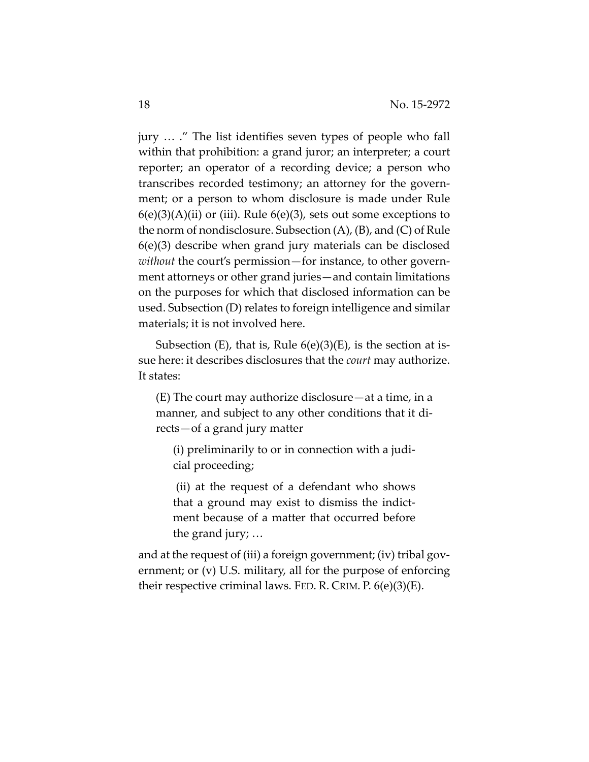jury … ." The list identifies seven types of people who fall within that prohibition: a grand juror; an interpreter; a court reporter; an operator of a recording device; a person who transcribes recorded testimony; an attorney for the government; or a person to whom disclosure is made under Rule  $6(e)(3)(A)(ii)$  or (iii). Rule  $6(e)(3)$ , sets out some exceptions to the norm of nondisclosure. Subsection (A), (B), and (C) of Rule 6(e)(3) describe when grand jury materials can be disclosed *without* the court's permission—for instance, to other government attorneys or other grand juries—and contain limitations on the purposes for which that disclosed information can be used. Subsection (D) relates to foreign intelligence and similar materials; it is not involved here.

Subsection (E), that is, Rule  $6(e)(3)(E)$ , is the section at issue here: it describes disclosures that the *court* may authorize. It states:

(E) The court may authorize disclosure—at a time, in a manner, and subject to any other conditions that it directs—of a grand jury matter

(i) preliminarily to or in connection with a judicial proceeding;

(ii) at the request of a defendant who shows that a ground may exist to dismiss the indictment because of a matter that occurred before the grand jury; …

and at the request of (iii) a foreign government; (iv) tribal government; or (v) U.S. military, all for the purpose of enforcing their respective criminal laws. FED. R. CRIM. P.  $6(e)(3)(E)$ .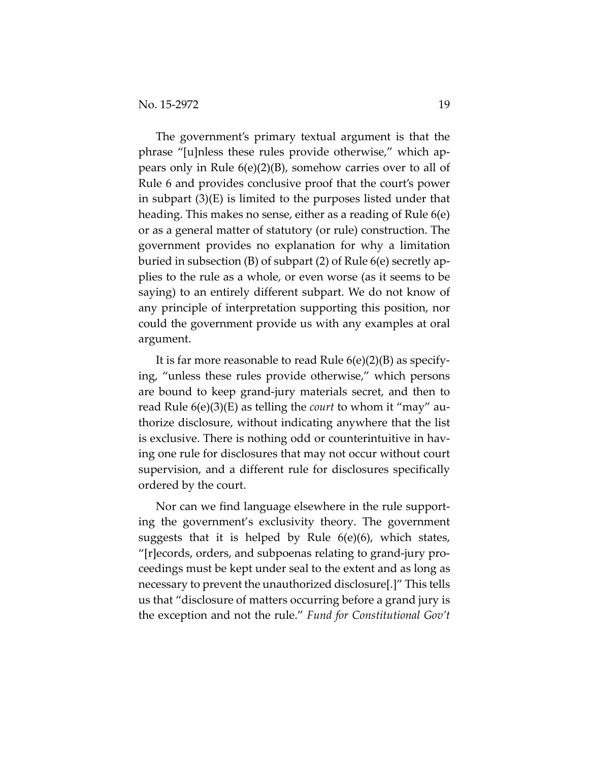The government's primary textual argument is that the phrase "[u]nless these rules provide otherwise," which appears only in Rule 6(e)(2)(B), somehow carries over to all of Rule 6 and provides conclusive proof that the court's power in subpart (3)(E) is limited to the purposes listed under that heading. This makes no sense, either as a reading of Rule 6(e) or as a general matter of statutory (or rule) construction. The government provides no explanation for why a limitation buried in subsection (B) of subpart (2) of Rule 6(e) secretly applies to the rule as a whole, or even worse (as it seems to be saying) to an entirely different subpart. We do not know of any principle of interpretation supporting this position, nor could the government provide us with any examples at oral argument.

It is far more reasonable to read Rule 6(e)(2)(B) as specifying, "unless these rules provide otherwise," which persons are bound to keep grand-jury materials secret, and then to read Rule 6(e)(3)(E) as telling the *court* to whom it "may" authorize disclosure, without indicating anywhere that the list is exclusive. There is nothing odd or counterintuitive in having one rule for disclosures that may not occur without court supervision, and a different rule for disclosures specifically ordered by the court.

Nor can we find language elsewhere in the rule supporting the government's exclusivity theory. The government suggests that it is helped by Rule 6(e)(6), which states, "[r]ecords, orders, and subpoenas relating to grand-jury proceedings must be kept under seal to the extent and as long as necessary to prevent the unauthorized disclosure[.]" This tells us that "disclosure of matters occurring before a grand jury is the exception and not the rule." *Fund for Constitutional Gov't*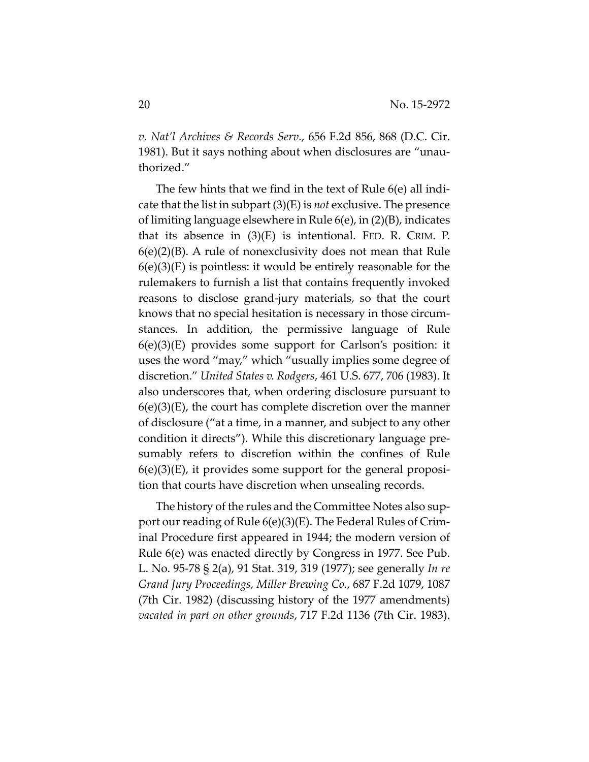*v. Nat'l Archives & Records Serv.*, 656 F.2d 856, 868 (D.C. Cir. 1981). But it says nothing about when disclosures are "unauthorized."

The few hints that we find in the text of Rule 6(e) all indicate that the list in subpart (3)(E) is *not* exclusive. The presence of limiting language elsewhere in Rule 6(e), in (2)(B), indicates that its absence in (3)(E) is intentional. FED. R. CRIM. P. 6(e)(2)(B). A rule of nonexclusivity does not mean that Rule  $6(e)(3)(E)$  is pointless: it would be entirely reasonable for the rulemakers to furnish a list that contains frequently invoked reasons to disclose grand-jury materials, so that the court knows that no special hesitation is necessary in those circumstances. In addition, the permissive language of Rule 6(e)(3)(E) provides some support for Carlson's position: it uses the word "may," which "usually implies some degree of discretion." *United States v. Rodgers*, 461 U.S. 677, 706 (1983). It also underscores that, when ordering disclosure pursuant to  $6(e)(3)(E)$ , the court has complete discretion over the manner of disclosure ("at a time, in a manner, and subject to any other condition it directs"). While this discretionary language presumably refers to discretion within the confines of Rule  $6(e)(3)(E)$ , it provides some support for the general proposition that courts have discretion when unsealing records.

The history of the rules and the Committee Notes also support our reading of Rule 6(e)(3)(E). The Federal Rules of Criminal Procedure first appeared in 1944; the modern version of Rule 6(e) was enacted directly by Congress in 1977. See Pub. L. No. 95-78 § 2(a), 91 Stat. 319, 319 (1977); see generally *In re Grand Jury Proceedings, Miller Brewing Co.*, 687 F.2d 1079, 1087 (7th Cir. 1982) (discussing history of the 1977 amendments) *vacated in part on other grounds*, 717 F.2d 1136 (7th Cir. 1983).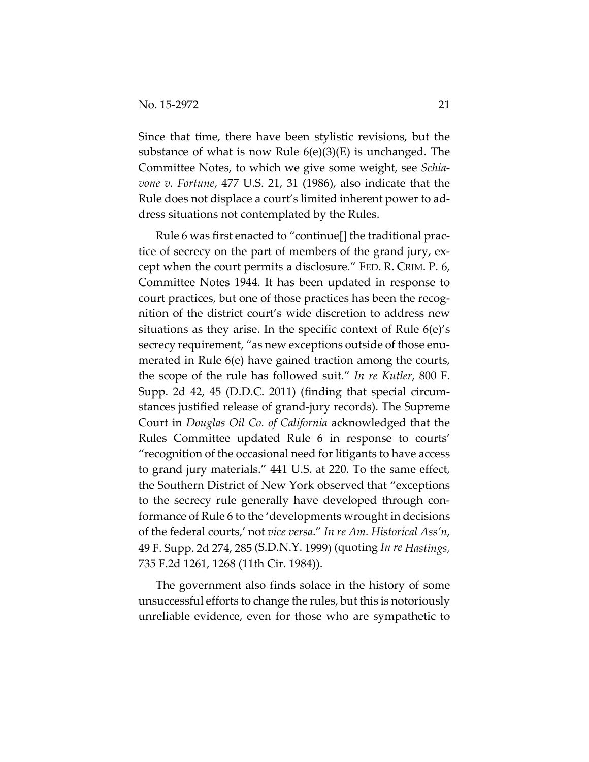Since that time, there have been stylistic revisions, but the substance of what is now Rule  $6(e)(3)(E)$  is unchanged. The Committee Notes, to which we give some weight, see *Schiavone v. Fortune*, 477 U.S. 21, 31 (1986), also indicate that the Rule does not displace a court's limited inherent power to address situations not contemplated by the Rules.

Rule 6 was first enacted to "continue[] the traditional practice of secrecy on the part of members of the grand jury, except when the court permits a disclosure." FED. R. CRIM. P. 6, Committee Notes 1944. It has been updated in response to court practices, but one of those practices has been the recognition of the district court's wide discretion to address new situations as they arise. In the specific context of Rule 6(e)'s secrecy requirement, "as new exceptions outside of those enumerated in Rule 6(e) have gained traction among the courts, the scope of the rule has followed suit." *In re Kutler*, 800 F. Supp. 2d 42, 45 (D.D.C. 2011) (finding that special circumstances justified release of grand-jury records). The Supreme Court in *Douglas Oil Co. of California* acknowledged that the Rules Committee updated Rule 6 in response to courts' "recognition of the occasional need for litigants to have access to grand jury materials." 441 U.S. at 220. To the same effect, the Southern District of New York observed that "exceptions to the secrecy rule generally have developed through conformance of Rule 6 to the 'developments wrought in decisions of the federal courts,' not *vice versa*." *In re Am. Historical Ass'n*, 49 F. Supp. 2d 274, 285 (S.D.N.Y. 1999) (quoting *In re Hastings,* 735 F.2d 1261, 1268 (11th Cir. 1984)).

The government also finds solace in the history of some unsuccessful efforts to change the rules, but this is notoriously unreliable evidence, even for those who are sympathetic to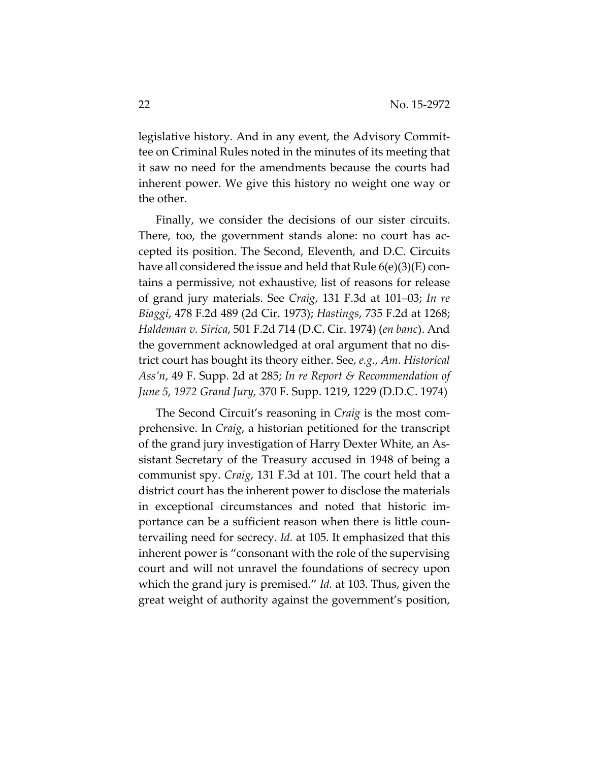legislative history. And in any event, the Advisory Committee on Criminal Rules noted in the minutes of its meeting that it saw no need for the amendments because the courts had inherent power. We give this history no weight one way or the other.

Finally, we consider the decisions of our sister circuits. There, too, the government stands alone: no court has accepted its position. The Second, Eleventh, and D.C. Circuits have all considered the issue and held that Rule 6(e)(3)(E) contains a permissive, not exhaustive, list of reasons for release of grand jury materials. See *Craig*, 131 F.3d at 101–03; *In re Biaggi*, 478 F.2d 489 (2d Cir. 1973); *Hastings*, 735 F.2d at 1268; *Haldeman v. Sirica*, 501 F.2d 714 (D.C. Cir. 1974) (*en banc*). And the government acknowledged at oral argument that no district court has bought its theory either. See, *e.g.*, *Am. Historical Ass'n*, 49 F. Supp. 2d at 285; *In re Report & Recommendation of June 5, 1972 Grand Jury,* 370 F. Supp. 1219, 1229 (D.D.C. 1974)

The Second Circuit's reasoning in *Craig* is the most comprehensive. In *Craig*, a historian petitioned for the transcript of the grand jury investigation of Harry Dexter White, an Assistant Secretary of the Treasury accused in 1948 of being a communist spy. *Craig*, 131 F.3d at 101. The court held that a district court has the inherent power to disclose the materials in exceptional circumstances and noted that historic importance can be a sufficient reason when there is little countervailing need for secrecy. *Id.* at 105. It emphasized that this inherent power is "consonant with the role of the supervising court and will not unravel the foundations of secrecy upon which the grand jury is premised." *Id.* at 103. Thus, given the great weight of authority against the government's position,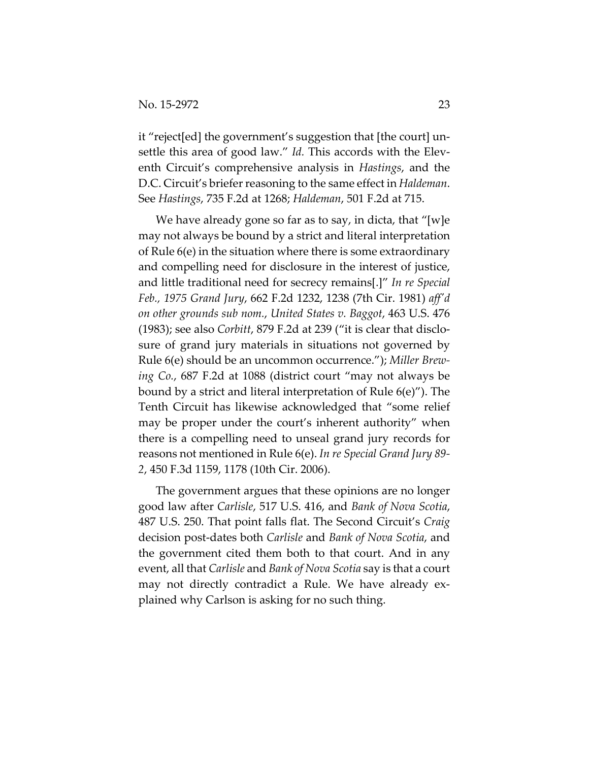it "reject[ed] the government's suggestion that [the court] unsettle this area of good law." *Id.* This accords with the Eleventh Circuit's comprehensive analysis in *Hastings*, and the D.C. Circuit's briefer reasoning to the same effect in *Haldeman*. See *Hastings*, 735 F.2d at 1268; *Haldeman*, 501 F.2d at 715.

We have already gone so far as to say, in dicta, that "[w]e may not always be bound by a strict and literal interpretation of Rule 6(e) in the situation where there is some extraordinary and compelling need for disclosure in the interest of justice, and little traditional need for secrecy remains[.]" *In re Special Feb., 1975 Grand Jury*, 662 F.2d 1232, 1238 (7th Cir. 1981) *aff'd on other grounds sub nom.*, *United States v. Baggot*, 463 U.S. 476 (1983); see also *Corbitt*, 879 F.2d at 239 ("it is clear that disclosure of grand jury materials in situations not governed by Rule 6(e) should be an uncommon occurrence."); *Miller Brewing Co.*, 687 F.2d at 1088 (district court "may not always be bound by a strict and literal interpretation of Rule 6(e)"). The Tenth Circuit has likewise acknowledged that "some relief may be proper under the court's inherent authority" when there is a compelling need to unseal grand jury records for reasons not mentioned in Rule 6(e). *In re Special Grand Jury 89- 2*, 450 F.3d 1159, 1178 (10th Cir. 2006).

The government argues that these opinions are no longer good law after *Carlisle*, 517 U.S. 416, and *Bank of Nova Scotia*, 487 U.S. 250. That point falls flat. The Second Circuit's *Craig*  decision post-dates both *Carlisle* and *Bank of Nova Scotia*, and the government cited them both to that court. And in any event, all that *Carlisle* and *Bank of Nova Scotia* say is that a court may not directly contradict a Rule. We have already explained why Carlson is asking for no such thing.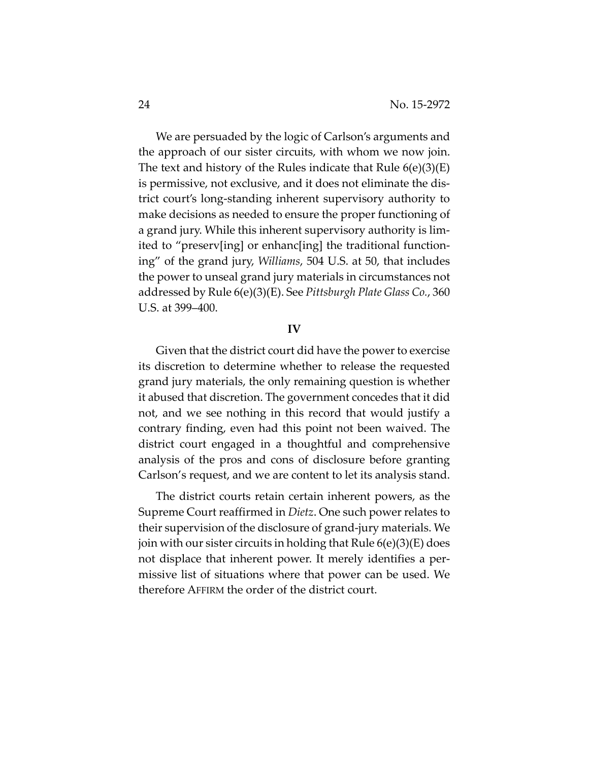We are persuaded by the logic of Carlson's arguments and the approach of our sister circuits, with whom we now join. The text and history of the Rules indicate that Rule  $6(e)(3)(E)$ is permissive, not exclusive, and it does not eliminate the district court's long-standing inherent supervisory authority to make decisions as needed to ensure the proper functioning of a grand jury. While this inherent supervisory authority is limited to "preserv[ing] or enhanc[ing] the traditional functioning" of the grand jury, *Williams*, 504 U.S. at 50, that includes the power to unseal grand jury materials in circumstances not addressed by Rule 6(e)(3)(E). See *Pittsburgh Plate Glass Co.*, 360 U.S. at 399–400.

#### **IV**

Given that the district court did have the power to exercise its discretion to determine whether to release the requested grand jury materials, the only remaining question is whether it abused that discretion. The government concedes that it did not, and we see nothing in this record that would justify a contrary finding, even had this point not been waived. The district court engaged in a thoughtful and comprehensive analysis of the pros and cons of disclosure before granting Carlson's request, and we are content to let its analysis stand.

The district courts retain certain inherent powers, as the Supreme Court reaffirmed in *Dietz*. One such power relates to their supervision of the disclosure of grand-jury materials. We join with our sister circuits in holding that Rule 6(e)(3)(E) does not displace that inherent power. It merely identifies a permissive list of situations where that power can be used. We therefore AFFIRM the order of the district court.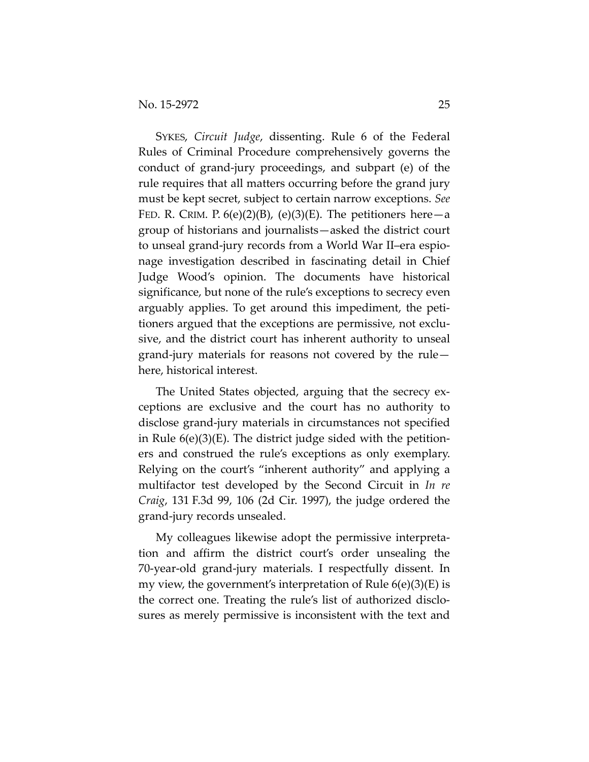SYKES, *Circuit Judge*, dissenting. Rule 6 of the Federal Rules of Criminal Procedure comprehensively governs the conduct of grand-jury proceedings, and subpart (e) of the rule requires that all matters occurring before the grand jury must be kept secret, subject to certain narrow exceptions. *See* FED. R. CRIM. P.  $6(e)(2)(B)$ ,  $(e)(3)(E)$ . The petitioners here—a group of historians and journalists—asked the district court to unseal grand-jury records from a World War II–era espionage investigation described in fascinating detail in Chief Judge Wood's opinion. The documents have historical significance, but none of the rule's exceptions to secrecy even arguably applies. To get around this impediment, the petitioners argued that the exceptions are permissive, not exclusive, and the district court has inherent authority to unseal grand-jury materials for reasons not covered by the rule here, historical interest.

The United States objected, arguing that the secrecy exceptions are exclusive and the court has no authority to disclose grand-jury materials in circumstances not specified in Rule 6(e)(3)(E). The district judge sided with the petitioners and construed the rule's exceptions as only exemplary. Relying on the court's "inherent authority" and applying a multifactor test developed by the Second Circuit in *In re Craig*, 131 F.3d 99, 106 (2d Cir. 1997), the judge ordered the grand-jury records unsealed.

My colleagues likewise adopt the permissive interpretation and affirm the district court's order unsealing the 70-year-old grand-jury materials. I respectfully dissent. In my view, the government's interpretation of Rule 6(e)(3)(E) is the correct one. Treating the rule's list of authorized disclosures as merely permissive is inconsistent with the text and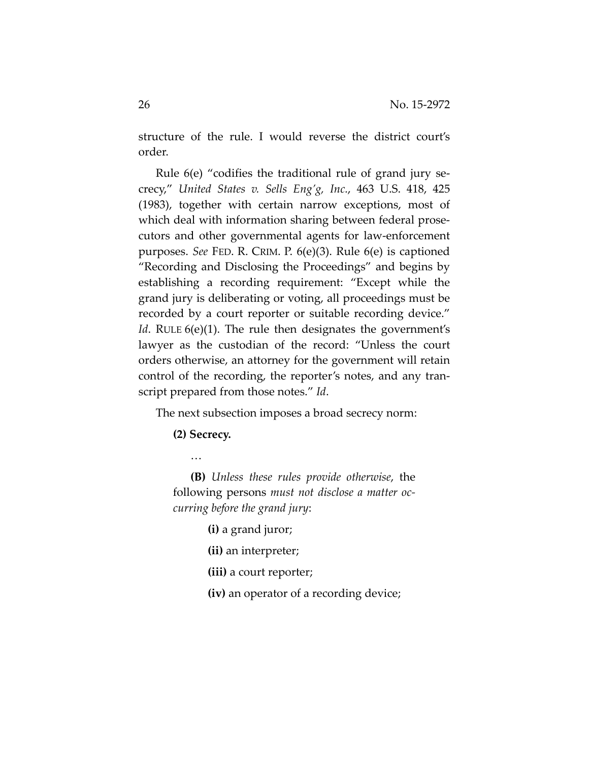structure of the rule. I would reverse the district court's order.

Rule 6(e) "codifies the traditional rule of grand jury secrecy," *United States v. Sells Eng'g, Inc.*, 463 U.S. 418, 425 (1983), together with certain narrow exceptions, most of which deal with information sharing between federal prosecutors and other governmental agents for law-enforcement purposes. *See* FED. R. CRIM. P. 6(e)(3). Rule 6(e) is captioned "Recording and Disclosing the Proceedings" and begins by establishing a recording requirement: "Except while the grand jury is deliberating or voting, all proceedings must be recorded by a court reporter or suitable recording device." *Id.* RULE 6(e)(1). The rule then designates the government's lawyer as the custodian of the record: "Unless the court orders otherwise, an attorney for the government will retain control of the recording, the reporter's notes, and any transcript prepared from those notes." *Id*.

The next subsection imposes a broad secrecy norm:

**(2) Secrecy.** 

…

**(B)** *Unless these rules provide otherwise*, the following persons *must not disclose a matter occurring before the grand jury*:

**(i)** a grand juror;

**(ii)** an interpreter;

**(iii)** a court reporter;

**(iv)** an operator of a recording device;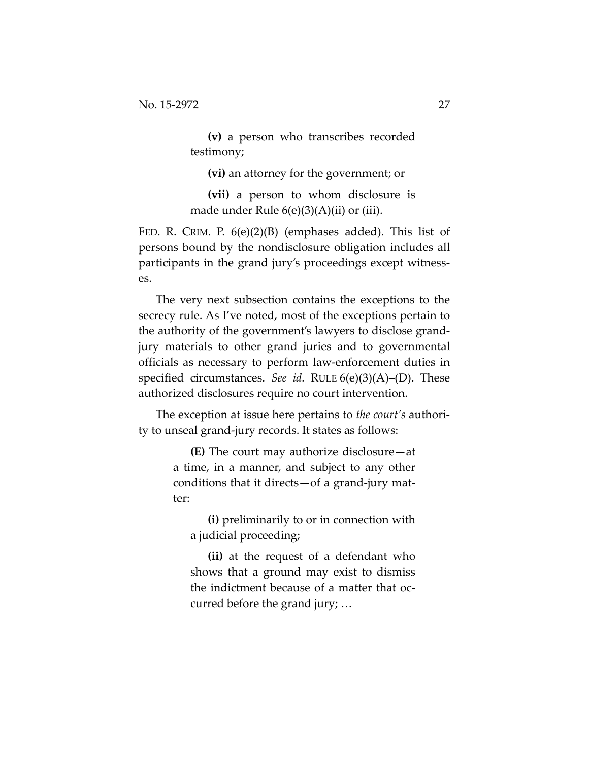**(v)** a person who transcribes recorded testimony;

**(vi)** an attorney for the government; or

**(vii)** a person to whom disclosure is made under Rule 6(e)(3)(A)(ii) or (iii).

FED. R. CRIM. P. 6(e)(2)(B) (emphases added). This list of persons bound by the nondisclosure obligation includes all participants in the grand jury's proceedings except witnesses.

The very next subsection contains the exceptions to the secrecy rule. As I've noted, most of the exceptions pertain to the authority of the government's lawyers to disclose grandjury materials to other grand juries and to governmental officials as necessary to perform law-enforcement duties in specified circumstances. *See id.* RULE 6(e)(3)(A)–(D). These authorized disclosures require no court intervention.

The exception at issue here pertains to *the court's* authority to unseal grand-jury records. It states as follows:

> **(E)** The court may authorize disclosure—at a time, in a manner, and subject to any other conditions that it directs—of a grand-jury matter:

**(i)** preliminarily to or in connection with a judicial proceeding;

**(ii)** at the request of a defendant who shows that a ground may exist to dismiss the indictment because of a matter that occurred before the grand jury; …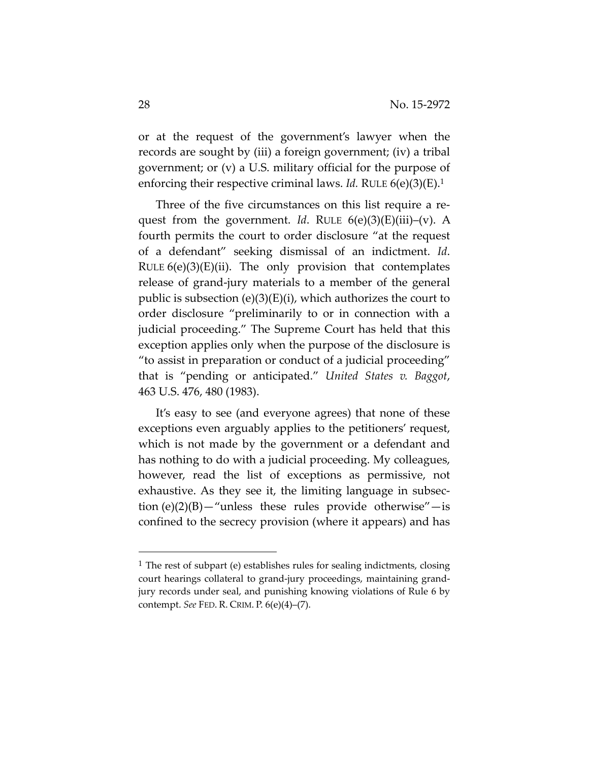or at the request of the government's lawyer when the records are sought by (iii) a foreign government; (iv) a tribal government; or (v) a U.S. military official for the purpose of enforcing their respective criminal laws. *Id.* RULE 6(e)(3)(E).1

Three of the five circumstances on this list require a request from the government. *Id*. RULE 6(e)(3)(E)(iii)–(v). A fourth permits the court to order disclosure "at the request of a defendant" seeking dismissal of an indictment. *Id*. RULE  $6(e)(3)(E)(ii)$ . The only provision that contemplates release of grand-jury materials to a member of the general public is subsection  $(e)(3)(E)(i)$ , which authorizes the court to order disclosure "preliminarily to or in connection with a judicial proceeding." The Supreme Court has held that this exception applies only when the purpose of the disclosure is "to assist in preparation or conduct of a judicial proceeding" that is "pending or anticipated." *United States v. Baggot*, 463 U.S. 476, 480 (1983).

It's easy to see (and everyone agrees) that none of these exceptions even arguably applies to the petitioners' request, which is not made by the government or a defendant and has nothing to do with a judicial proceeding. My colleagues, however, read the list of exceptions as permissive, not exhaustive. As they see it, the limiting language in subsection  $(e)(2)(B)$ —"unless these rules provide otherwise"—is confined to the secrecy provision (where it appears) and has

 $\overline{a}$ 

<sup>1</sup> The rest of subpart (e) establishes rules for sealing indictments, closing court hearings collateral to grand-jury proceedings, maintaining grandjury records under seal, and punishing knowing violations of Rule 6 by contempt. *See* FED. R. CRIM. P. 6(e)(4)–(7).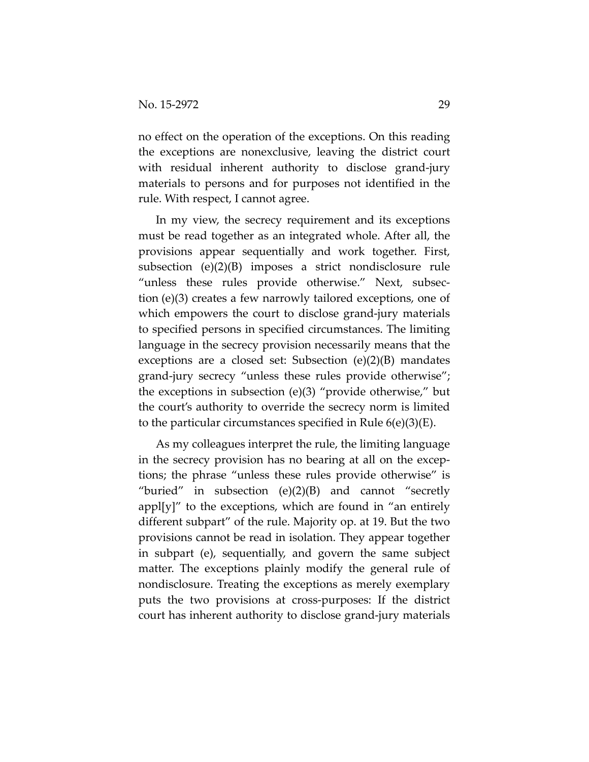no effect on the operation of the exceptions. On this reading the exceptions are nonexclusive, leaving the district court with residual inherent authority to disclose grand-jury materials to persons and for purposes not identified in the rule. With respect, I cannot agree.

In my view, the secrecy requirement and its exceptions must be read together as an integrated whole. After all, the provisions appear sequentially and work together. First, subsection (e)(2)(B) imposes a strict nondisclosure rule "unless these rules provide otherwise." Next, subsection (e)(3) creates a few narrowly tailored exceptions, one of which empowers the court to disclose grand-jury materials to specified persons in specified circumstances. The limiting language in the secrecy provision necessarily means that the exceptions are a closed set: Subsection (e)(2)(B) mandates grand-jury secrecy "unless these rules provide otherwise"; the exceptions in subsection (e)(3) "provide otherwise," but the court's authority to override the secrecy norm is limited to the particular circumstances specified in Rule 6(e)(3)(E).

As my colleagues interpret the rule, the limiting language in the secrecy provision has no bearing at all on the exceptions; the phrase "unless these rules provide otherwise" is "buried" in subsection  $(e)(2)(B)$  and cannot "secretly  $appl[y]''$  to the exceptions, which are found in "an entirely different subpart" of the rule. Majority op. at 19. But the two provisions cannot be read in isolation. They appear together in subpart (e), sequentially, and govern the same subject matter. The exceptions plainly modify the general rule of nondisclosure. Treating the exceptions as merely exemplary puts the two provisions at cross-purposes: If the district court has inherent authority to disclose grand-jury materials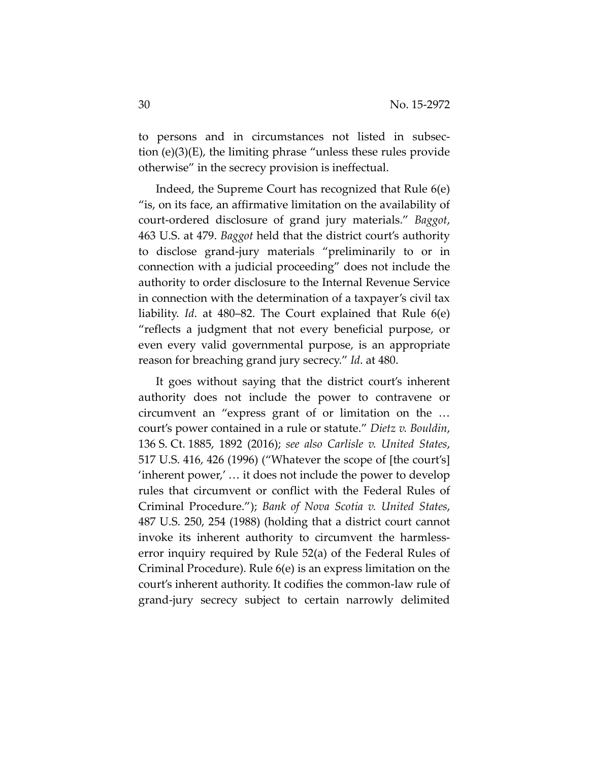to persons and in circumstances not listed in subsection (e)(3)(E), the limiting phrase "unless these rules provide otherwise" in the secrecy provision is ineffectual.

Indeed, the Supreme Court has recognized that Rule 6(e) "is, on its face, an affirmative limitation on the availability of court-ordered disclosure of grand jury materials." *Baggot*, 463 U.S. at 479. *Baggot* held that the district court's authority to disclose grand-jury materials "preliminarily to or in connection with a judicial proceeding" does not include the authority to order disclosure to the Internal Revenue Service in connection with the determination of a taxpayer's civil tax liability. *Id*. at 480–82. The Court explained that Rule 6(e) "reflects a judgment that not every beneficial purpose, or even every valid governmental purpose, is an appropriate reason for breaching grand jury secrecy." *Id*. at 480.

It goes without saying that the district court's inherent authority does not include the power to contravene or circumvent an "express grant of or limitation on the … court's power contained in a rule or statute." *Dietz v. Bouldin*, 136 S. Ct. 1885, 1892 (2016); *see also Carlisle v. United States*, 517 U.S. 416, 426 (1996) ("Whatever the scope of [the court's] 'inherent power,' … it does not include the power to develop rules that circumvent or conflict with the Federal Rules of Criminal Procedure."); *Bank of Nova Scotia v. United States*, 487 U.S. 250, 254 (1988) (holding that a district court cannot invoke its inherent authority to circumvent the harmlesserror inquiry required by Rule 52(a) of the Federal Rules of Criminal Procedure). Rule 6(e) is an express limitation on the court's inherent authority. It codifies the common-law rule of grand-jury secrecy subject to certain narrowly delimited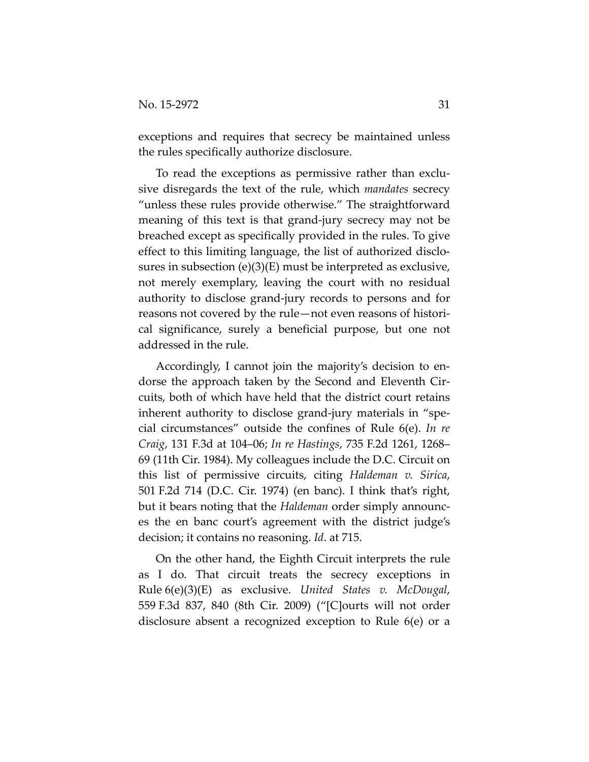exceptions and requires that secrecy be maintained unless the rules specifically authorize disclosure.

To read the exceptions as permissive rather than exclusive disregards the text of the rule, which *mandates* secrecy "unless these rules provide otherwise." The straightforward meaning of this text is that grand-jury secrecy may not be breached except as specifically provided in the rules. To give effect to this limiting language, the list of authorized disclosures in subsection (e)(3)(E) must be interpreted as exclusive, not merely exemplary, leaving the court with no residual authority to disclose grand-jury records to persons and for reasons not covered by the rule—not even reasons of historical significance, surely a beneficial purpose, but one not addressed in the rule.

Accordingly, I cannot join the majority's decision to endorse the approach taken by the Second and Eleventh Circuits, both of which have held that the district court retains inherent authority to disclose grand-jury materials in "special circumstances" outside the confines of Rule 6(e). *In re Craig*, 131 F.3d at 104–06; *In re Hastings*, 735 F.2d 1261, 1268– 69 (11th Cir. 1984). My colleagues include the D.C. Circuit on this list of permissive circuits, citing *Haldeman v. Sirica*, 501 F.2d 714 (D.C. Cir. 1974) (en banc). I think that's right, but it bears noting that the *Haldeman* order simply announces the en banc court's agreement with the district judge's decision; it contains no reasoning. *Id*. at 715.

On the other hand, the Eighth Circuit interprets the rule as I do. That circuit treats the secrecy exceptions in Rule 6(e)(3)(E) as exclusive. *United States v. McDougal*, 559 F.3d 837, 840 (8th Cir. 2009) ("[C]ourts will not order disclosure absent a recognized exception to Rule 6(e) or a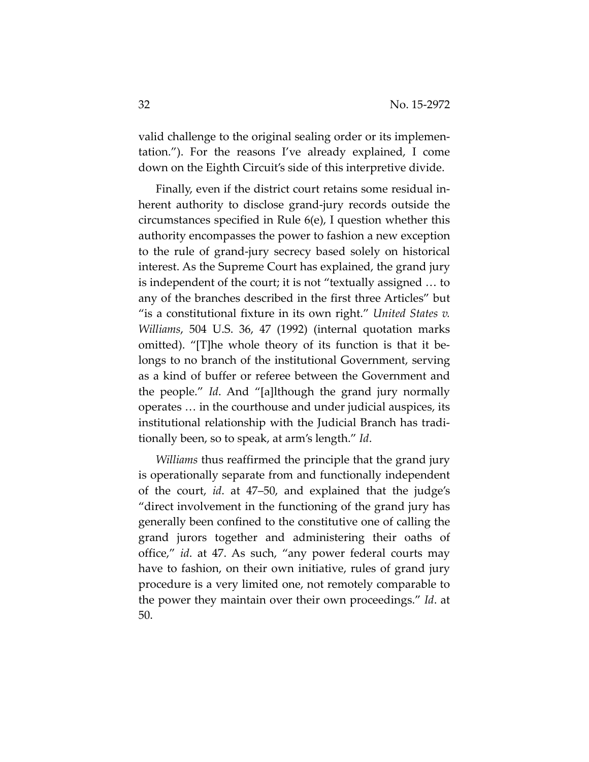valid challenge to the original sealing order or its implementation."). For the reasons I've already explained, I come down on the Eighth Circuit's side of this interpretive divide.

Finally, even if the district court retains some residual inherent authority to disclose grand-jury records outside the circumstances specified in Rule 6(e), I question whether this authority encompasses the power to fashion a new exception to the rule of grand-jury secrecy based solely on historical interest. As the Supreme Court has explained, the grand jury is independent of the court; it is not "textually assigned … to any of the branches described in the first three Articles" but "is a constitutional fixture in its own right." *United States v. Williams*, 504 U.S. 36, 47 (1992) (internal quotation marks omitted). "[T]he whole theory of its function is that it belongs to no branch of the institutional Government, serving as a kind of buffer or referee between the Government and the people." *Id*. And "[a]lthough the grand jury normally operates … in the courthouse and under judicial auspices, its institutional relationship with the Judicial Branch has traditionally been, so to speak, at arm's length." *Id*.

*Williams* thus reaffirmed the principle that the grand jury is operationally separate from and functionally independent of the court, *id*. at 47–50, and explained that the judge's "direct involvement in the functioning of the grand jury has generally been confined to the constitutive one of calling the grand jurors together and administering their oaths of office," *id*. at 47. As such, "any power federal courts may have to fashion, on their own initiative, rules of grand jury procedure is a very limited one, not remotely comparable to the power they maintain over their own proceedings." *Id*. at 50.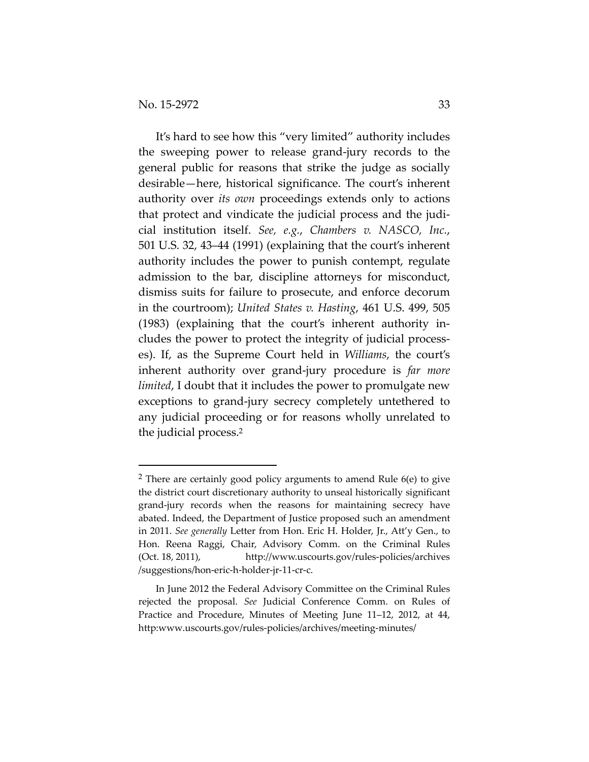l

It's hard to see how this "very limited" authority includes the sweeping power to release grand-jury records to the general public for reasons that strike the judge as socially desirable—here, historical significance. The court's inherent authority over *its own* proceedings extends only to actions that protect and vindicate the judicial process and the judicial institution itself. *See, e.g.*, *Chambers v. NASCO, Inc.*, 501 U.S. 32, 43–44 (1991) (explaining that the court's inherent authority includes the power to punish contempt, regulate admission to the bar, discipline attorneys for misconduct, dismiss suits for failure to prosecute, and enforce decorum in the courtroom); *United States v. Hasting*, 461 U.S. 499, 505 (1983) (explaining that the court's inherent authority includes the power to protect the integrity of judicial processes). If, as the Supreme Court held in *Williams*, the court's inherent authority over grand-jury procedure is *far more limited*, I doubt that it includes the power to promulgate new exceptions to grand-jury secrecy completely untethered to any judicial proceeding or for reasons wholly unrelated to the judicial process.2

 $2$  There are certainly good policy arguments to amend Rule  $6(e)$  to give the district court discretionary authority to unseal historically significant grand-jury records when the reasons for maintaining secrecy have abated. Indeed, the Department of Justice proposed such an amendment in 2011. *See generally* Letter from Hon. Eric H. Holder, Jr., Att'y Gen., to Hon. Reena Raggi, Chair, Advisory Comm. on the Criminal Rules (Oct. 18, 2011), http://www.uscourts.gov/rules-policies/archives /suggestions/hon-eric-h-holder-jr-11-cr-c.

In June 2012 the Federal Advisory Committee on the Criminal Rules rejected the proposal. *See* Judicial Conference Comm. on Rules of Practice and Procedure, Minutes of Meeting June 11–12, 2012, at 44, http:www.uscourts.gov/rules-policies/archives/meeting-minutes/